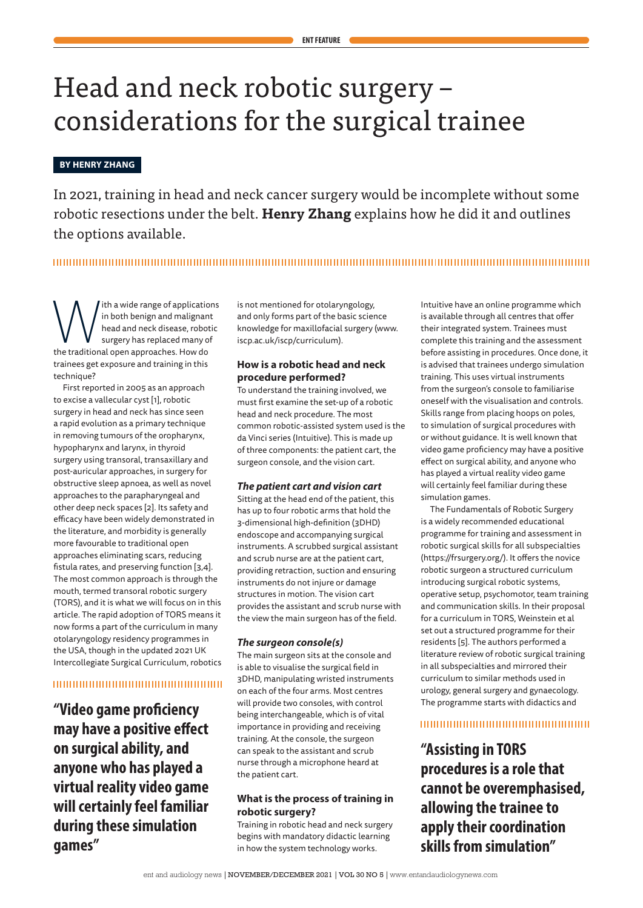# Head and neck robotic surgery – considerations for the surgical trainee

# **BY HENRY ZHANG**

In 2021, training in head and neck cancer surgery would be incomplete without some robotic resections under the belt. **Henry Zhang** explains how he did it and outlines the options available.

# 

**Musical Standard Standard Standard Incommental Standard Incommental Standard Incommental Standard Standard Standard Standard Incommental Standard Incommental Standard Incommental Standard Incommental Standard Incommental** in both benign and malignant head and neck disease, robotic surgery has replaced many of trainees get exposure and training in this technique?

First reported in 2005 as an approach to excise a vallecular cyst [1], robotic surgery in head and neck has since seen a rapid evolution as a primary technique in removing tumours of the oropharynx, hypopharynx and larynx, in thyroid surgery using transoral, transaxillary and post-auricular approaches, in surgery for obstructive sleep apnoea, as well as novel approaches to the parapharyngeal and other deep neck spaces [2]. Its safety and efficacy have been widely demonstrated in the literature, and morbidity is generally more favourable to traditional open approaches eliminating scars, reducing fistula rates, and preserving function [3,4]. The most common approach is through the mouth, termed transoral robotic surgery (TORS), and it is what we will focus on in this article. The rapid adoption of TORS means it now forms a part of the curriculum in many otolaryngology residency programmes in the USA, though in the updated 2021 UK Intercollegiate Surgical Curriculum, robotics

#### 

**"Video game proficiency may have a positive effect on surgical ability, and anyone who has played a virtual reality video game will certainly feel familiar during these simulation games"**

is not mentioned for otolaryngology, and only forms part of the basic science knowledge for maxillofacial surgery (www. iscp.ac.uk/iscp/curriculum).

# **How is a robotic head and neck procedure performed?**

To understand the training involved, we must first examine the set-up of a robotic head and neck procedure. The most common robotic-assisted system used is the da Vinci series (Intuitive). This is made up of three components: the patient cart, the surgeon console, and the vision cart.

#### *The patient cart and vision cart*

Sitting at the head end of the patient, this has up to four robotic arms that hold the 3-dimensional high-definition (3DHD) endoscope and accompanying surgical instruments. A scrubbed surgical assistant and scrub nurse are at the patient cart, providing retraction, suction and ensuring instruments do not injure or damage structures in motion. The vision cart provides the assistant and scrub nurse with the view the main surgeon has of the field.

#### *The surgeon console(s)*

The main surgeon sits at the console and is able to visualise the surgical field in 3DHD, manipulating wristed instruments on each of the four arms. Most centres will provide two consoles, with control being interchangeable, which is of vital importance in providing and receiving training. At the console, the surgeon can speak to the assistant and scrub nurse through a microphone heard at the patient cart.

#### **What is the process of training in robotic surgery?**

Training in robotic head and neck surgery begins with mandatory didactic learning in how the system technology works.

Intuitive have an online programme which is available through all centres that offer their integrated system. Trainees must complete this training and the assessment before assisting in procedures. Once done, it is advised that trainees undergo simulation training. This uses virtual instruments from the surgeon's console to familiarise oneself with the visualisation and controls. Skills range from placing hoops on poles, to simulation of surgical procedures with or without guidance. It is well known that video game proficiency may have a positive effect on surgical ability, and anyone who has played a virtual reality video game will certainly feel familiar during these simulation games.

The Fundamentals of Robotic Surgery is a widely recommended educational programme for training and assessment in robotic surgical skills for all subspecialties (https://frsurgery.org/). It offers the novice robotic surgeon a structured curriculum introducing surgical robotic systems, operative setup, psychomotor, team training and communication skills. In their proposal for a curriculum in TORS, Weinstein et al set out a structured programme for their residents [5]. The authors performed a literature review of robotic surgical training in all subspecialties and mirrored their curriculum to similar methods used in urology, general surgery and gynaecology. The programme starts with didactics and

# 

**"Assisting in TORS procedures is a role that cannot be overemphasised, allowing the trainee to apply their coordination skills from simulation"**